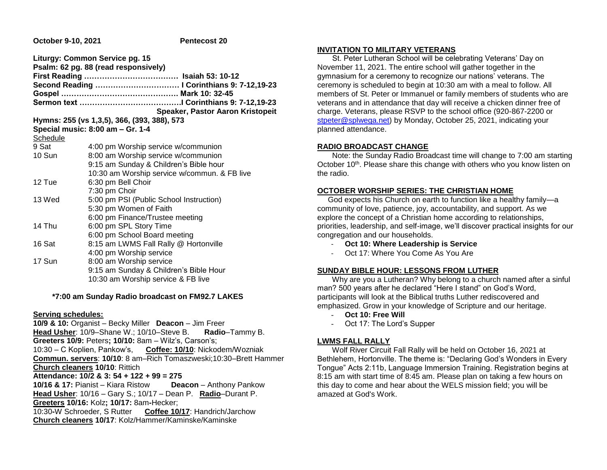**October 9-10, 2021 Pentecost 20** 

|          | Liturgy: Common Service pg. 15<br>Psalm: 62 pg. 88 (read responsively) |
|----------|------------------------------------------------------------------------|
|          |                                                                        |
|          | Second Reading  I Corinthians 9: 7-12,19-23                            |
|          |                                                                        |
|          |                                                                        |
|          | Speaker, Pastor Aaron Kristopeit                                       |
|          | Hymns: 255 (vs 1,3,5), 366, (393, 388), 573                            |
|          | Special music: 8:00 am - Gr. 1-4                                       |
| Schedule |                                                                        |
| 9 Sat    | 4:00 pm Worship service w/communion                                    |
| 10 Sun   | 8:00 am Worship service w/communion                                    |
|          | 9:15 am Sunday & Children's Bible hour                                 |
|          | 10:30 am Worship service w/commun. & FB live                           |
| 12 Tue   | 6:30 pm Bell Choir                                                     |
|          | 7:30 pm Choir                                                          |
| 13 Wed   | 5:00 pm PSI (Public School Instruction)                                |
|          | 5:30 pm Women of Faith                                                 |
|          | 6:00 pm Finance/Trustee meeting                                        |
| 14 Thu   | 6:00 pm SPL Story Time                                                 |
|          | 6:00 pm School Board meeting                                           |
| 16 Sat   | 8:15 am LWMS Fall Rally @ Hortonville                                  |
|          | 4:00 pm Worship service                                                |
| 17 Sun   | 8:00 am Worship service                                                |
|          | 9:15 am Sunday & Children's Bible Hour                                 |
|          | 10:30 am Worship service & FB live                                     |

## **\*7:00 am Sunday Radio broadcast on FM92.7 LAKES**

## **Serving schedules:**

**10/9 & 10:** Organist – Becky Miller **Deacon** – Jim Freer **Head Usher**: 10/9–Shane W.; 10/10–Steve B. **Radio**–Tammy B. **Greeters 10/9:** Peters**; 10/10:** 8am – Wilz's, Carson's; 10:30 – C Koplien, Pankow's, **Coffee: 10/10**: Nickodem/Wozniak **Commun. servers**: **10/10**: 8 am–Rich Tomaszweski;10:30–Brett Hammer **Church cleaners 10/10**: Rittich **Attendance: 10/2 & 3: 54 + 122 + 99 = 275 10/16 & 17:** Pianist – Kiara Ristow **Deacon** – Anthony Pankow **Head Usher**: 10/16 – Gary S.; 10/17 – Dean P. **Radio**–Durant P.

**Greeters 10/16:** Kolz**; 10/17:** 8am**-**Hecker;

10:30**-**W Schroeder, S Rutter **Coffee 10/17**: Handrich/Jarchow **Church cleaners 10/17**: Kolz/Hammer/Kaminske/Kaminske

## **INVITATION TO MILITARY VETERANS**

 St. Peter Lutheran School will be celebrating Veterans' Day on November 11, 2021. The entire school will gather together in the gymnasium for a ceremony to recognize our nations' veterans. The ceremony is scheduled to begin at 10:30 am with a meal to follow. All members of St. Peter or Immanuel or family members of students who are veterans and in attendance that day will receive a chicken dinner free of charge. Veterans, please RSVP to the school office (920-867-2200 or [stpeter@splwega.net\)](mailto:stpeter@splwega.net) by Monday, October 25, 2021, indicating your planned attendance.

# **RADIO BROADCAST CHANGE**

 Note: the Sunday Radio Broadcast time will change to 7:00 am starting October 10<sup>th</sup>. Please share this change with others who you know listen on the radio.

## **OCTOBER WORSHIP SERIES: THE CHRISTIAN HOME**

 God expects his Church on earth to function like a healthy family—a community of love, patience, joy, accountability, and support. As we explore the concept of a Christian home according to relationships, priorities, leadership, and self-image, we'll discover practical insights for our congregation and our households.

- **Oct 10: Where Leadership is Service**
- Oct 17: Where You Come As You Are

# **SUNDAY BIBLE HOUR: LESSONS FROM LUTHER**

 Why are you a Lutheran? Why belong to a church named after a sinful man? 500 years after he declared "Here I stand" on God's Word, participants will look at the Biblical truths Luther rediscovered and emphasized. Grow in your knowledge of Scripture and our heritage.

- **Oct 10: Free Will**
- Oct 17: The Lord's Supper

# **LWMS FALL RALLY**

 Wolf River Circuit Fall Rally will be held on October 16, 2021 at Bethlehem, Hortonville. The theme is: "Declaring God's Wonders in Every Tongue" Acts 2:11b, Language Immersion Training. Registration begins at 8:15 am with start time of 8:45 am. Please plan on taking a few hours on this day to come and hear about the WELS mission field; you will be amazed at God's Work.